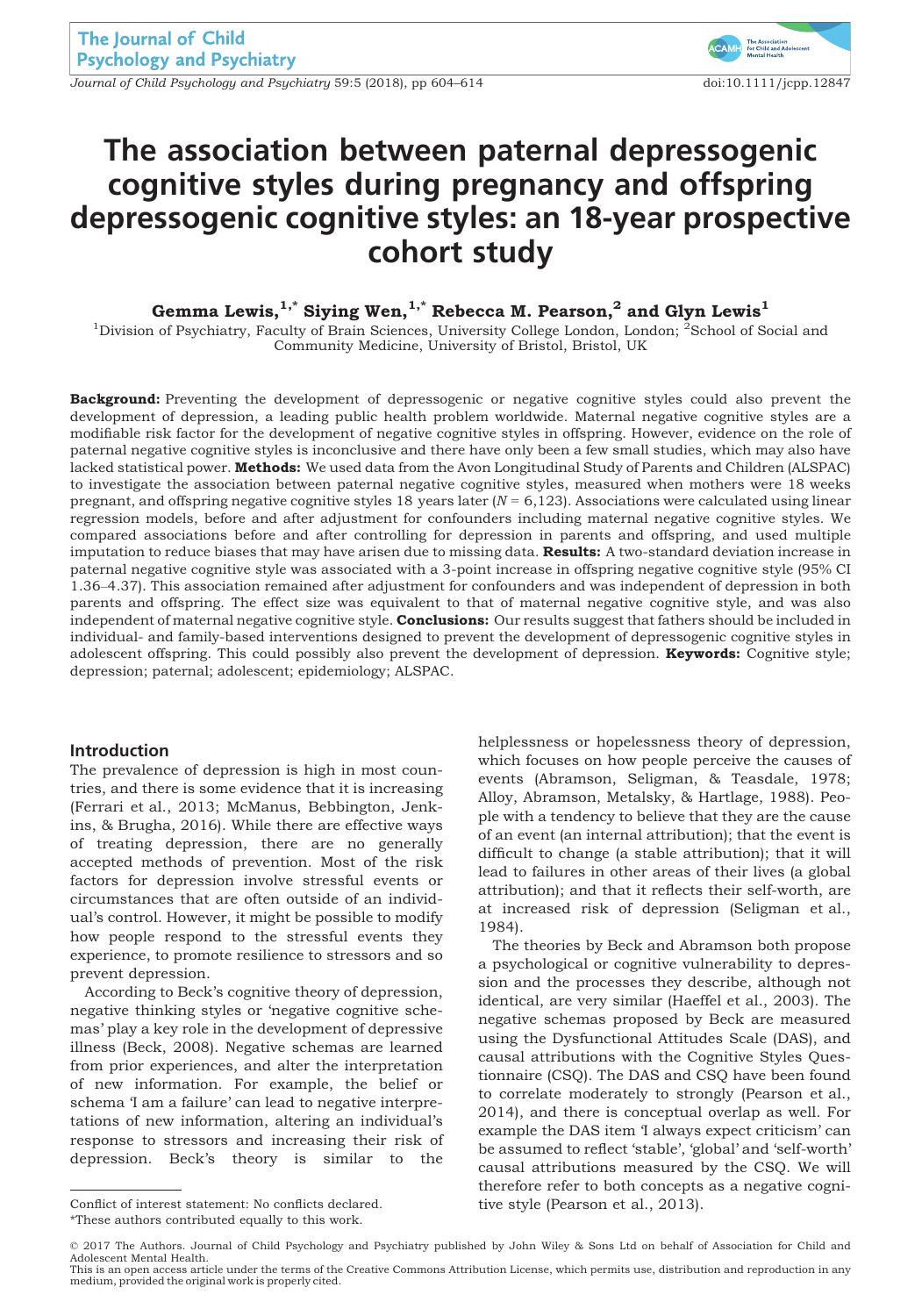Journal of Child Psychology and Psychiatry 59:5 (2018), pp 604–614 doi:10.1111/jcpp.12847



# The association between paternal depressogenic cognitive styles during pregnancy and offspring depressogenic cognitive styles: an 18-year prospective cohort study

Gemma Lewis,<sup>1,\*</sup> Siying Wen,<sup>1,\*</sup> Rebecca M. Pearson,<sup>2</sup> and Glyn Lewis<sup>1</sup>

<sup>1</sup>Division of Psychiatry, Faculty of Brain Sciences, University College London, London; <sup>2</sup>School of Social and Community Medicine, University of Bristol, Bristol, UK

Background: Preventing the development of depressogenic or negative cognitive styles could also prevent the development of depression, a leading public health problem worldwide. Maternal negative cognitive styles are a modifiable risk factor for the development of negative cognitive styles in offspring. However, evidence on the role of paternal negative cognitive styles is inconclusive and there have only been a few small studies, which may also have lacked statistical power. Methods: We used data from the Avon Longitudinal Study of Parents and Children (ALSPAC) to investigate the association between paternal negative cognitive styles, measured when mothers were 18 weeks pregnant, and offspring negative cognitive styles 18 years later ( $N = 6,123$ ). Associations were calculated using linear regression models, before and after adjustment for confounders including maternal negative cognitive styles. We compared associations before and after controlling for depression in parents and offspring, and used multiple imputation to reduce biases that may have arisen due to missing data. Results: A two-standard deviation increase in paternal negative cognitive style was associated with a 3-point increase in offspring negative cognitive style (95% CI 1.36–4.37). This association remained after adjustment for confounders and was independent of depression in both parents and offspring. The effect size was equivalent to that of maternal negative cognitive style, and was also independent of maternal negative cognitive style. Conclusions: Our results suggest that fathers should be included in individual- and family-based interventions designed to prevent the development of depressogenic cognitive styles in adolescent offspring. This could possibly also prevent the development of depression. Keywords: Cognitive style; depression; paternal; adolescent; epidemiology; ALSPAC.

# Introduction

The prevalence of depression is high in most countries, and there is some evidence that it is increasing (Ferrari et al., 2013; McManus, Bebbington, Jenkins, & Brugha, 2016). While there are effective ways of treating depression, there are no generally accepted methods of prevention. Most of the risk factors for depression involve stressful events or circumstances that are often outside of an individual's control. However, it might be possible to modify how people respond to the stressful events they experience, to promote resilience to stressors and so prevent depression.

According to Beck's cognitive theory of depression, negative thinking styles or 'negative cognitive schemas' play a key role in the development of depressive illness (Beck, 2008). Negative schemas are learned from prior experiences, and alter the interpretation of new information. For example, the belief or schema 'I am a failure' can lead to negative interpretations of new information, altering an individual's response to stressors and increasing their risk of depression. Beck's theory is similar to the

helplessness or hopelessness theory of depression, which focuses on how people perceive the causes of events (Abramson, Seligman, & Teasdale, 1978; Alloy, Abramson, Metalsky, & Hartlage, 1988). People with a tendency to believe that they are the cause of an event (an internal attribution); that the event is difficult to change (a stable attribution); that it will lead to failures in other areas of their lives (a global attribution); and that it reflects their self-worth, are at increased risk of depression (Seligman et al., 1984).

The theories by Beck and Abramson both propose a psychological or cognitive vulnerability to depression and the processes they describe, although not identical, are very similar (Haeffel et al., 2003). The negative schemas proposed by Beck are measured using the Dysfunctional Attitudes Scale (DAS), and causal attributions with the Cognitive Styles Questionnaire (CSQ). The DAS and CSQ have been found to correlate moderately to strongly (Pearson et al., 2014), and there is conceptual overlap as well. For example the DAS item 'I always expect criticism' can be assumed to reflect 'stable', 'global' and 'self-worth' causal attributions measured by the CSQ. We will therefore refer to both concepts as a negative cogni-

© 2017 The Authors. Journal of Child Psychology and Psychiatry published by John Wiley & Sons Ltd on behalf of Association for Child and Adolescent Mental Health. This is an open access article under the terms of the [Creative Commons Attribution](http://creativecommons.org/licenses/by/4.0/) License, which permits use, distribution and reproduction in any

medium, provided the original work is properly cited.

Conflict of interest statement: No conflicts declared. tive style (Pearson et al., 2013).

<sup>\*</sup>These authors contributed equally to this work.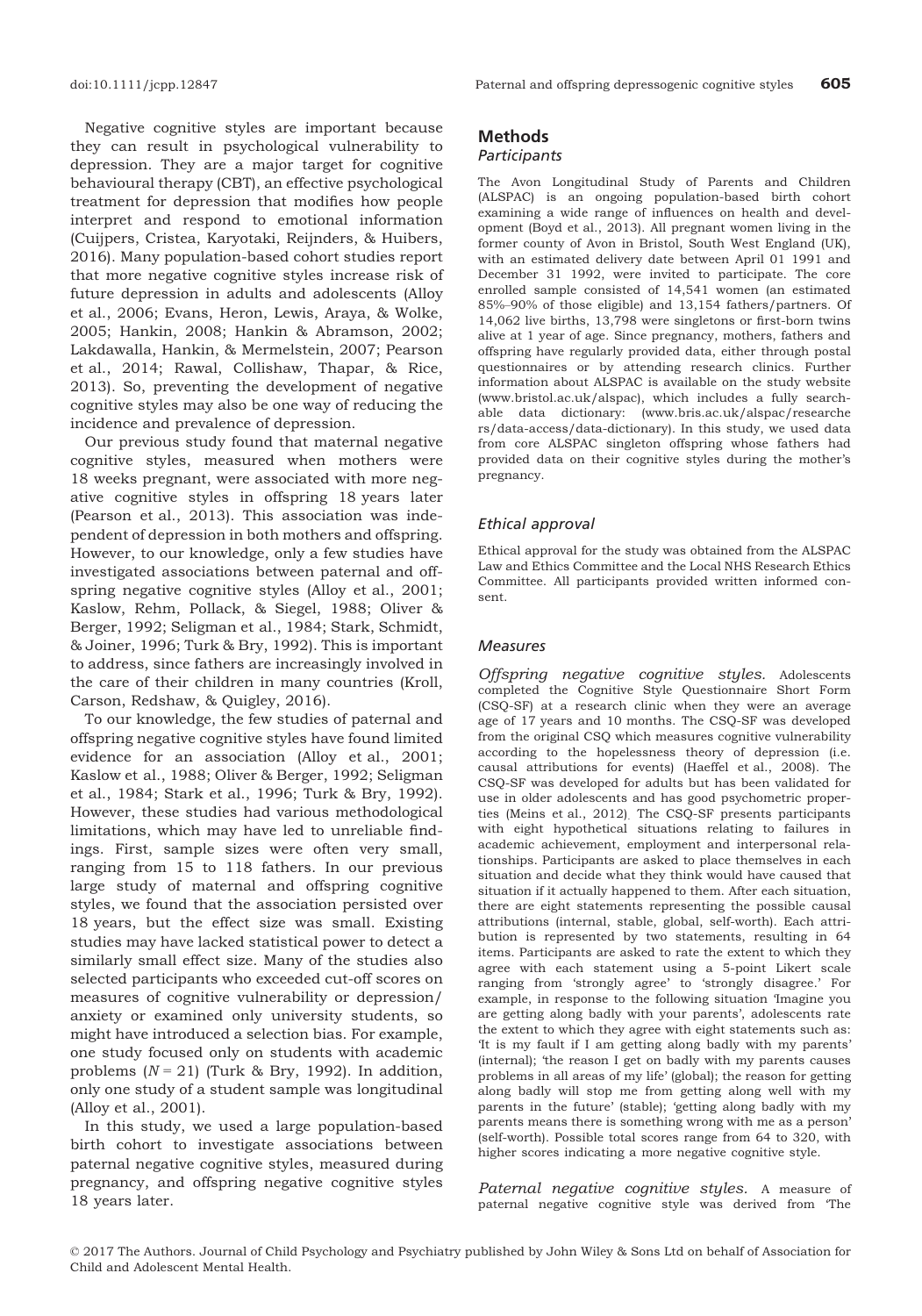Negative cognitive styles are important because they can result in psychological vulnerability to depression. They are a major target for cognitive behavioural therapy (CBT), an effective psychological treatment for depression that modifies how people interpret and respond to emotional information (Cuijpers, Cristea, Karyotaki, Reijnders, & Huibers, 2016). Many population-based cohort studies report that more negative cognitive styles increase risk of future depression in adults and adolescents (Alloy et al., 2006; Evans, Heron, Lewis, Araya, & Wolke, 2005; Hankin, 2008; Hankin & Abramson, 2002; Lakdawalla, Hankin, & Mermelstein, 2007; Pearson et al., 2014; Rawal, Collishaw, Thapar, & Rice, 2013). So, preventing the development of negative cognitive styles may also be one way of reducing the incidence and prevalence of depression.

Our previous study found that maternal negative cognitive styles, measured when mothers were 18 weeks pregnant, were associated with more negative cognitive styles in offspring 18 years later (Pearson et al., 2013). This association was independent of depression in both mothers and offspring. However, to our knowledge, only a few studies have investigated associations between paternal and offspring negative cognitive styles (Alloy et al., 2001; Kaslow, Rehm, Pollack, & Siegel, 1988; Oliver & Berger, 1992; Seligman et al., 1984; Stark, Schmidt, & Joiner, 1996; Turk & Bry, 1992). This is important to address, since fathers are increasingly involved in the care of their children in many countries (Kroll, Carson, Redshaw, & Quigley, 2016).

To our knowledge, the few studies of paternal and offspring negative cognitive styles have found limited evidence for an association (Alloy et al., 2001; Kaslow et al., 1988; Oliver & Berger, 1992; Seligman et al., 1984; Stark et al., 1996; Turk & Bry, 1992). However, these studies had various methodological limitations, which may have led to unreliable findings. First, sample sizes were often very small, ranging from 15 to 118 fathers. In our previous large study of maternal and offspring cognitive styles, we found that the association persisted over 18 years, but the effect size was small. Existing studies may have lacked statistical power to detect a similarly small effect size. Many of the studies also selected participants who exceeded cut-off scores on measures of cognitive vulnerability or depression/ anxiety or examined only university students, so might have introduced a selection bias. For example, one study focused only on students with academic problems  $(N = 21)$  (Turk & Bry, 1992). In addition, only one study of a student sample was longitudinal (Alloy et al., 2001).

In this study, we used a large population-based birth cohort to investigate associations between paternal negative cognitive styles, measured during pregnancy, and offspring negative cognitive styles 18 years later.

# Methods

### **Participants**

The Avon Longitudinal Study of Parents and Children (ALSPAC) is an ongoing population-based birth cohort examining a wide range of influences on health and development (Boyd et al., 2013). All pregnant women living in the former county of Avon in Bristol, South West England (UK), with an estimated delivery date between April 01 1991 and December 31 1992, were invited to participate. The core enrolled sample consisted of 14,541 women (an estimated 85%–90% of those eligible) and 13,154 fathers/partners. Of 14,062 live births, 13,798 were singletons or first-born twins alive at 1 year of age. Since pregnancy, mothers, fathers and offspring have regularly provided data, either through postal questionnaires or by attending research clinics. Further information about ALSPAC is available on the study website [\(www.bristol.ac.uk/alspac\)](http://www.bristol.ac.uk/alspac), which includes a fully searchable data dictionary: ([www.bris.ac.uk/alspac/researche](http://www.bris.ac.uk/alspac/researchers/data-access/data-dictionary) [rs/data-access/data-dictionary\)](http://www.bris.ac.uk/alspac/researchers/data-access/data-dictionary). In this study, we used data from core ALSPAC singleton offspring whose fathers had provided data on their cognitive styles during the mother's pregnancy.

#### Ethical approval

Ethical approval for the study was obtained from the ALSPAC Law and Ethics Committee and the Local NHS Research Ethics Committee. All participants provided written informed consent.

#### Measures

Offspring negative cognitive styles. Adolescents completed the Cognitive Style Questionnaire Short Form (CSQ-SF) at a research clinic when they were an average age of 17 years and 10 months. The CSQ-SF was developed from the original CSQ which measures cognitive vulnerability according to the hopelessness theory of depression (i.e. causal attributions for events) (Haeffel et al., 2008). The CSQ-SF was developed for adults but has been validated for use in older adolescents and has good psychometric properties (Meins et al., 2012). The CSQ-SF presents participants with eight hypothetical situations relating to failures in academic achievement, employment and interpersonal relationships. Participants are asked to place themselves in each situation and decide what they think would have caused that situation if it actually happened to them. After each situation, there are eight statements representing the possible causal attributions (internal, stable, global, self-worth). Each attribution is represented by two statements, resulting in 64 items. Participants are asked to rate the extent to which they agree with each statement using a 5-point Likert scale ranging from 'strongly agree' to 'strongly disagree.' For example, in response to the following situation 'Imagine you are getting along badly with your parents', adolescents rate the extent to which they agree with eight statements such as: 'It is my fault if I am getting along badly with my parents' (internal); 'the reason I get on badly with my parents causes problems in all areas of my life' (global); the reason for getting along badly will stop me from getting along well with my parents in the future' (stable); 'getting along badly with my parents means there is something wrong with me as a person' (self-worth). Possible total scores range from 64 to 320, with higher scores indicating a more negative cognitive style.

Paternal negative cognitive styles. A measure of paternal negative cognitive style was derived from 'The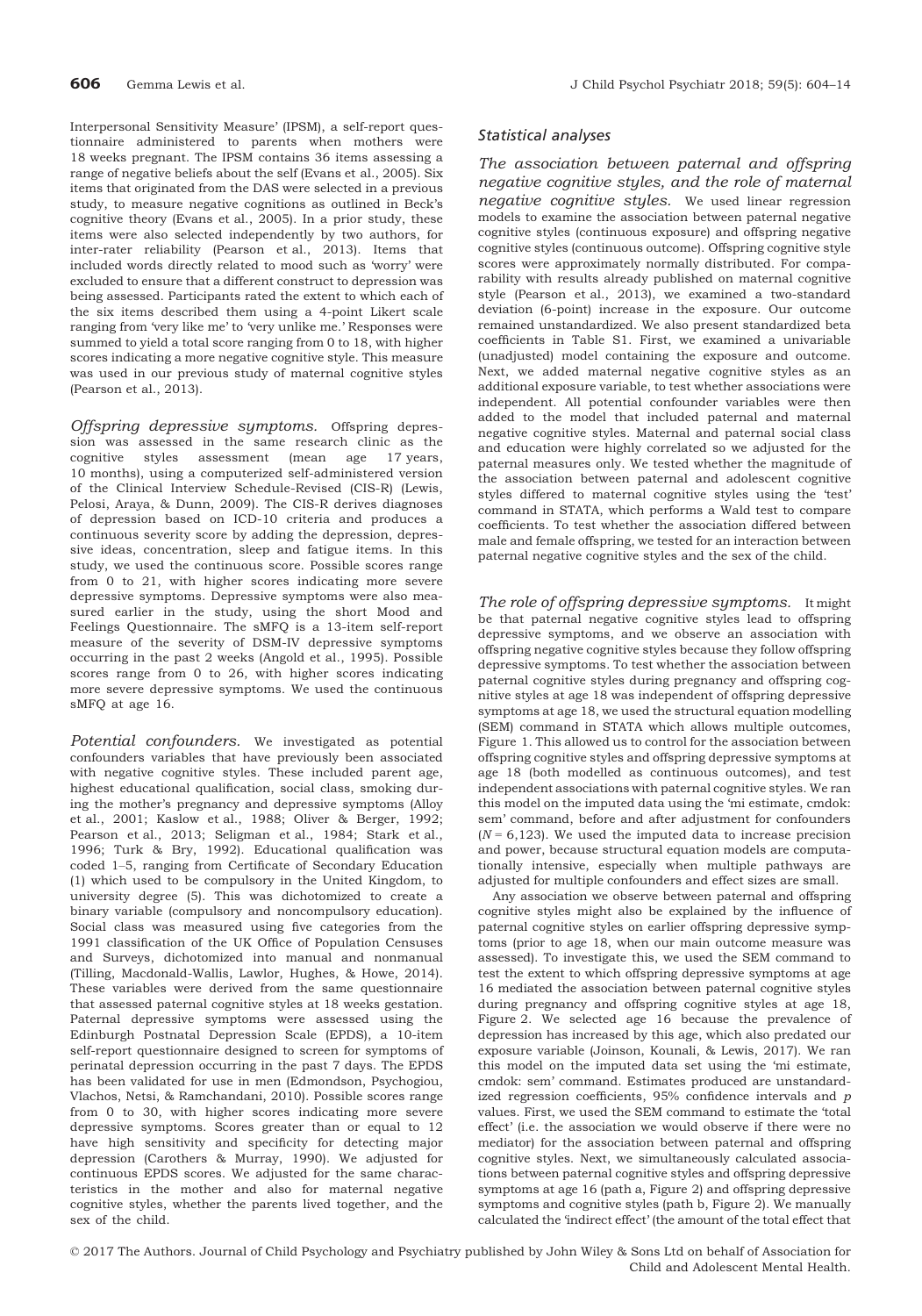Interpersonal Sensitivity Measure' (IPSM), a self-report questionnaire administered to parents when mothers were 18 weeks pregnant. The IPSM contains 36 items assessing a range of negative beliefs about the self (Evans et al., 2005). Six items that originated from the DAS were selected in a previous study, to measure negative cognitions as outlined in Beck's cognitive theory (Evans et al., 2005). In a prior study, these items were also selected independently by two authors, for inter-rater reliability (Pearson et al., 2013). Items that included words directly related to mood such as 'worry' were excluded to ensure that a different construct to depression was being assessed. Participants rated the extent to which each of the six items described them using a 4-point Likert scale ranging from 'very like me' to 'very unlike me.' Responses were summed to yield a total score ranging from 0 to 18, with higher scores indicating a more negative cognitive style. This measure was used in our previous study of maternal cognitive styles (Pearson et al., 2013).

Offspring depressive symptoms. Offspring depression was assessed in the same research clinic as the cognitive styles assessment (mean age 17 years, 10 months), using a computerized self-administered version of the Clinical Interview Schedule-Revised (CIS-R) (Lewis, Pelosi, Araya, & Dunn, 2009). The CIS-R derives diagnoses of depression based on ICD-10 criteria and produces a continuous severity score by adding the depression, depressive ideas, concentration, sleep and fatigue items. In this study, we used the continuous score. Possible scores range from 0 to 21, with higher scores indicating more severe depressive symptoms. Depressive symptoms were also measured earlier in the study, using the short Mood and Feelings Questionnaire. The sMFQ is a 13-item self-report measure of the severity of DSM-IV depressive symptoms occurring in the past 2 weeks (Angold et al., 1995). Possible scores range from 0 to 26, with higher scores indicating more severe depressive symptoms. We used the continuous sMFQ at age 16.

Potential confounders. We investigated as potential confounders variables that have previously been associated with negative cognitive styles. These included parent age, highest educational qualification, social class, smoking during the mother's pregnancy and depressive symptoms (Alloy et al., 2001; Kaslow et al., 1988; Oliver & Berger, 1992; Pearson et al., 2013; Seligman et al., 1984; Stark et al., 1996; Turk & Bry, 1992). Educational qualification was coded 1–5, ranging from Certificate of Secondary Education (1) which used to be compulsory in the United Kingdom, to university degree (5). This was dichotomized to create a binary variable (compulsory and noncompulsory education). Social class was measured using five categories from the 1991 classification of the UK Office of Population Censuses and Surveys, dichotomized into manual and nonmanual (Tilling, Macdonald-Wallis, Lawlor, Hughes, & Howe, 2014). These variables were derived from the same questionnaire that assessed paternal cognitive styles at 18 weeks gestation. Paternal depressive symptoms were assessed using the Edinburgh Postnatal Depression Scale (EPDS), a 10-item self-report questionnaire designed to screen for symptoms of perinatal depression occurring in the past 7 days. The EPDS has been validated for use in men (Edmondson, Psychogiou, Vlachos, Netsi, & Ramchandani, 2010). Possible scores range from 0 to 30, with higher scores indicating more severe depressive symptoms. Scores greater than or equal to 12 have high sensitivity and specificity for detecting major depression (Carothers & Murray, 1990). We adjusted for continuous EPDS scores. We adjusted for the same characteristics in the mother and also for maternal negative cognitive styles, whether the parents lived together, and the sex of the child.

#### Statistical analyses

The association between paternal and offspring negative cognitive styles, and the role of maternal negative cognitive styles. We used linear regression models to examine the association between paternal negative cognitive styles (continuous exposure) and offspring negative cognitive styles (continuous outcome). Offspring cognitive style scores were approximately normally distributed. For comparability with results already published on maternal cognitive style (Pearson et al., 2013), we examined a two-standard deviation (6-point) increase in the exposure. Our outcome remained unstandardized. We also present standardized beta coefficients in Table S1. First, we examined a univariable (unadjusted) model containing the exposure and outcome. Next, we added maternal negative cognitive styles as an additional exposure variable, to test whether associations were independent. All potential confounder variables were then added to the model that included paternal and maternal negative cognitive styles. Maternal and paternal social class and education were highly correlated so we adjusted for the paternal measures only. We tested whether the magnitude of the association between paternal and adolescent cognitive styles differed to maternal cognitive styles using the 'test' command in STATA, which performs a Wald test to compare coefficients. To test whether the association differed between male and female offspring, we tested for an interaction between paternal negative cognitive styles and the sex of the child.

The role of offspring depressive symptoms. It might be that paternal negative cognitive styles lead to offspring depressive symptoms, and we observe an association with offspring negative cognitive styles because they follow offspring depressive symptoms. To test whether the association between paternal cognitive styles during pregnancy and offspring cognitive styles at age 18 was independent of offspring depressive symptoms at age 18, we used the structural equation modelling (SEM) command in STATA which allows multiple outcomes, Figure 1. This allowed us to control for the association between offspring cognitive styles and offspring depressive symptoms at age 18 (both modelled as continuous outcomes), and test independent associations with paternal cognitive styles. We ran this model on the imputed data using the 'mi estimate, cmdok: sem' command, before and after adjustment for confounders  $(N = 6,123)$ . We used the imputed data to increase precision and power, because structural equation models are computationally intensive, especially when multiple pathways are adjusted for multiple confounders and effect sizes are small.

Any association we observe between paternal and offspring cognitive styles might also be explained by the influence of paternal cognitive styles on earlier offspring depressive symptoms (prior to age 18, when our main outcome measure was assessed). To investigate this, we used the SEM command to test the extent to which offspring depressive symptoms at age 16 mediated the association between paternal cognitive styles during pregnancy and offspring cognitive styles at age 18, Figure 2. We selected age 16 because the prevalence of depression has increased by this age, which also predated our exposure variable (Joinson, Kounali, & Lewis, 2017). We ran this model on the imputed data set using the 'mi estimate, cmdok: sem' command. Estimates produced are unstandardized regression coefficients,  $95%$  confidence intervals and  $p$ values. First, we used the SEM command to estimate the 'total effect' (i.e. the association we would observe if there were no mediator) for the association between paternal and offspring cognitive styles. Next, we simultaneously calculated associations between paternal cognitive styles and offspring depressive symptoms at age 16 (path a, Figure 2) and offspring depressive symptoms and cognitive styles (path b, Figure 2). We manually calculated the 'indirect effect' (the amount of the total effect that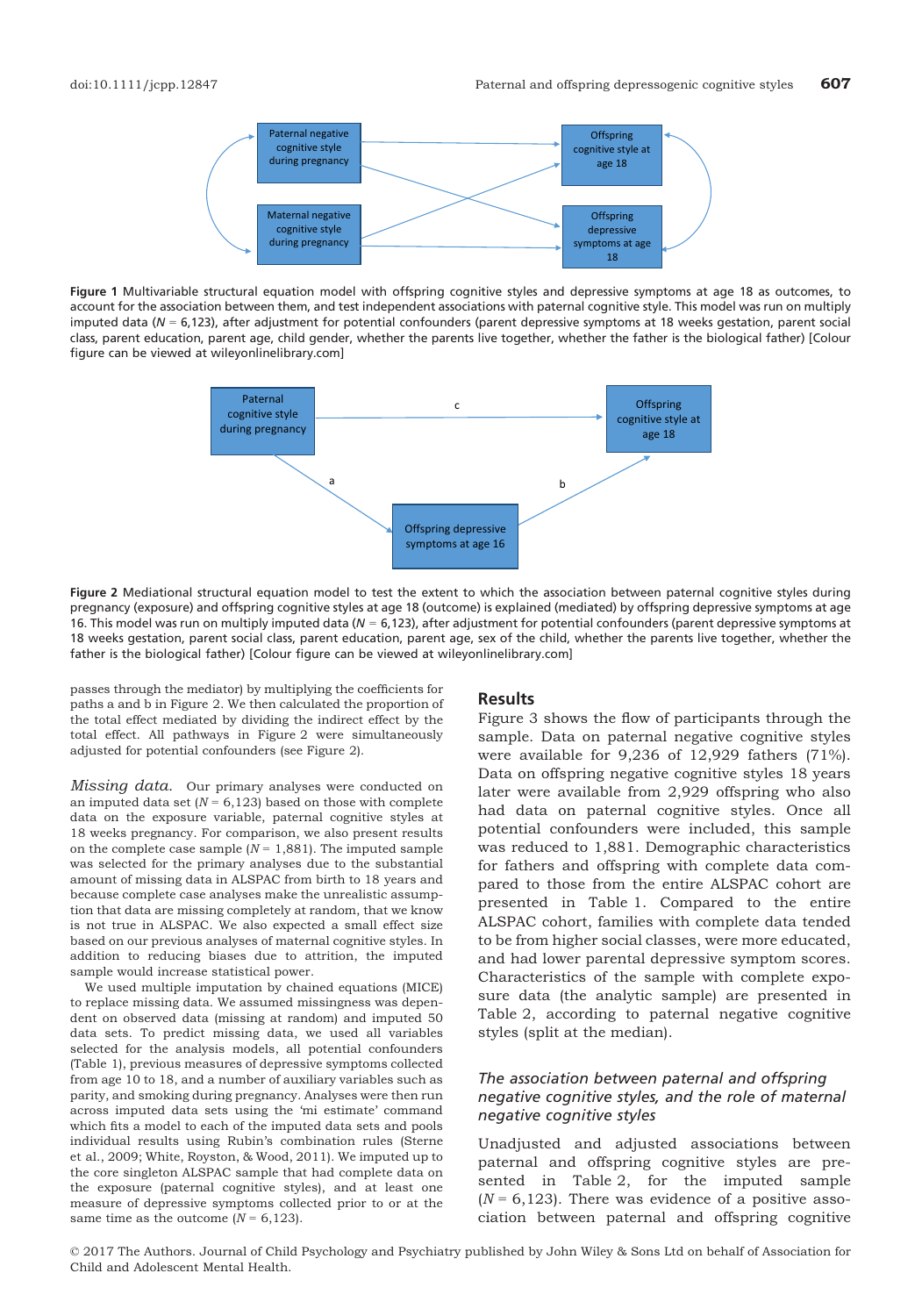

Figure 1 Multivariable structural equation model with offspring cognitive styles and depressive symptoms at age 18 as outcomes, to account for the association between them, and test independent associations with paternal cognitive style. This model was run on multiply imputed data (N = 6,123), after adjustment for potential confounders (parent depressive symptoms at 18 weeks gestation, parent social class, parent education, parent age, child gender, whether the parents live together, whether the father is the biological father) [Colour figure can be viewed at wileyonlinelibrary.com]



Figure 2 Mediational structural equation model to test the extent to which the association between paternal cognitive styles during pregnancy (exposure) and offspring cognitive styles at age 18 (outcome) is explained (mediated) by offspring depressive symptoms at age 16. This model was run on multiply imputed data ( $N = 6,123$ ), after adjustment for potential confounders (parent depressive symptoms at 18 weeks gestation, parent social class, parent education, parent age, sex of the child, whether the parents live together, whether the father is the biological father) [Colour figure can be viewed at wileyonlinelibrary.com]

passes through the mediator) by multiplying the coefficients for paths a and b in Figure 2. We then calculated the proportion of the total effect mediated by dividing the indirect effect by the total effect. All pathways in Figure 2 were simultaneously adjusted for potential confounders (see Figure 2).

Missing data. Our primary analyses were conducted on an imputed data set ( $N = 6,123$ ) based on those with complete data on the exposure variable, paternal cognitive styles at 18 weeks pregnancy. For comparison, we also present results on the complete case sample ( $N = 1,881$ ). The imputed sample was selected for the primary analyses due to the substantial amount of missing data in ALSPAC from birth to 18 years and because complete case analyses make the unrealistic assumption that data are missing completely at random, that we know is not true in ALSPAC. We also expected a small effect size based on our previous analyses of maternal cognitive styles. In addition to reducing biases due to attrition, the imputed sample would increase statistical power.

We used multiple imputation by chained equations (MICE) to replace missing data. We assumed missingness was dependent on observed data (missing at random) and imputed 50 data sets. To predict missing data, we used all variables selected for the analysis models, all potential confounders (Table 1), previous measures of depressive symptoms collected from age 10 to 18, and a number of auxiliary variables such as parity, and smoking during pregnancy. Analyses were then run across imputed data sets using the 'mi estimate' command which fits a model to each of the imputed data sets and pools individual results using Rubin's combination rules (Sterne et al., 2009; White, Royston, & Wood, 2011). We imputed up to the core singleton ALSPAC sample that had complete data on the exposure (paternal cognitive styles), and at least one measure of depressive symptoms collected prior to or at the same time as the outcome  $(N = 6, 123)$ .

#### Results

Figure 3 shows the flow of participants through the sample. Data on paternal negative cognitive styles were available for 9,236 of 12,929 fathers (71%). Data on offspring negative cognitive styles 18 years later were available from 2,929 offspring who also had data on paternal cognitive styles. Once all potential confounders were included, this sample was reduced to 1,881. Demographic characteristics for fathers and offspring with complete data compared to those from the entire ALSPAC cohort are presented in Table 1. Compared to the entire ALSPAC cohort, families with complete data tended to be from higher social classes, were more educated, and had lower parental depressive symptom scores. Characteristics of the sample with complete exposure data (the analytic sample) are presented in Table 2, according to paternal negative cognitive styles (split at the median).

# The association between paternal and offspring negative cognitive styles, and the role of maternal negative cognitive styles

Unadjusted and adjusted associations between paternal and offspring cognitive styles are presented in Table 2, for the imputed sample  $(N = 6, 123)$ . There was evidence of a positive association between paternal and offspring cognitive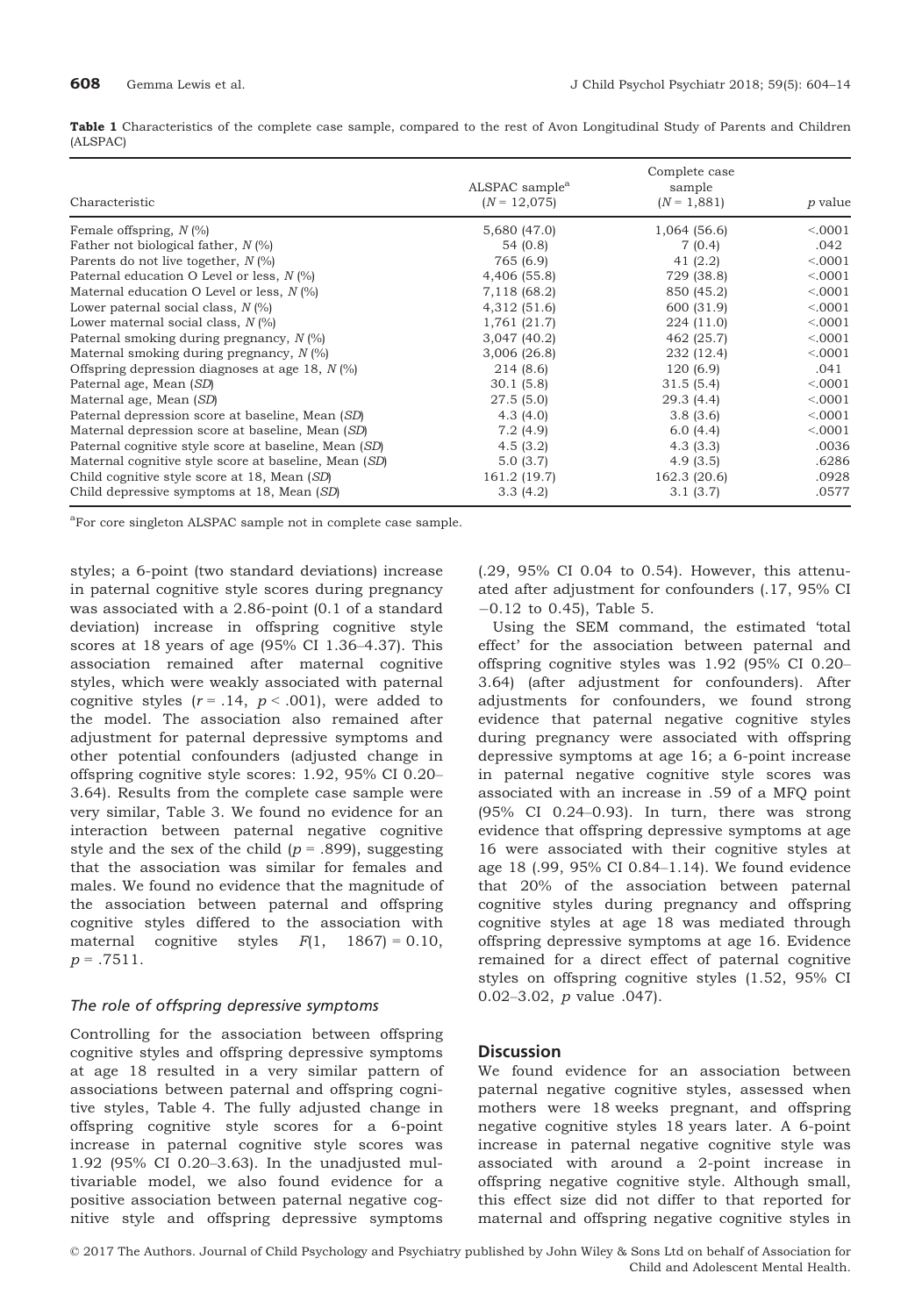|          | Table 1 Characteristics of the complete case sample, compared to the rest of Avon Longitudinal Study of Parents and Children |  |  |  |  |  |
|----------|------------------------------------------------------------------------------------------------------------------------------|--|--|--|--|--|
| (ALSPAC) |                                                                                                                              |  |  |  |  |  |

|                                                       |                            | Complete case |                |  |
|-------------------------------------------------------|----------------------------|---------------|----------------|--|
|                                                       | ALSPAC sample <sup>a</sup> | sample        |                |  |
| Characteristic                                        | $(N = 12,075)$             | $(N = 1,881)$ | <i>p</i> value |  |
| Female offspring, $N$ (%)                             | 5,680 (47.0)               | 1,064 (56.6)  | < 0.0001       |  |
| Father not biological father, $N$ (%)                 | 54 (0.8)                   | 7(0.4)        | .042           |  |
| Parents do not live together, $N$ (%)                 | 765 (6.9)                  | 41 $(2.2)$    | < 0.0001       |  |
| Paternal education O Level or less, $N$ (%)           | 4,406 (55.8)               | 729 (38.8)    | < 0.0001       |  |
| Maternal education O Level or less, $N$ (%)           | 7,118 (68.2)               | 850 (45.2)    | < .0001        |  |
| Lower paternal social class, $N$ (%)                  | 4,312(51.6)                | 600 (31.9)    | < 0.0001       |  |
| Lower maternal social class, $N$ (%)                  | 1,761 (21.7)               | 224(11.0)     | < 0.0001       |  |
| Paternal smoking during pregnancy, $N$ (%)            | $3,047$ (40.2)             | 462 (25.7)    | < 0001         |  |
| Maternal smoking during pregnancy, $N$ (%)            | 3,006(26.8)                | 232 (12.4)    | < 0001         |  |
| Offspring depression diagnoses at age 18, $N$ (%)     | 214(8.6)                   | 120(6.9)      | .041           |  |
| Paternal age, Mean (SD)                               | 30.1(5.8)                  | 31.5(5.4)     | < 0.0001       |  |
| Maternal age, Mean (SD)                               | 27.5(5.0)                  | 29.3(4.4)     | < .0001        |  |
| Paternal depression score at baseline, Mean (SD)      | 4.3(4.0)                   | 3.8(3.6)      | < 0.0001       |  |
| Maternal depression score at baseline, Mean (SD)      | 7.2(4.9)                   | 6.0(4.4)      | < 0.0001       |  |
| Paternal cognitive style score at baseline, Mean (SD) | 4.5(3.2)                   | 4.3(3.3)      | .0036          |  |
| Maternal cognitive style score at baseline, Mean (SD) | 5.0(3.7)                   | 4.9(3.5)      | .6286          |  |
| Child cognitive style score at 18, Mean (SD)          | 161.2 (19.7)               | 162.3 (20.6)  | .0928          |  |
| Child depressive symptoms at 18, Mean (SD)            | 3.3(4.2)                   | 3.1(3.7)      | .0577          |  |

<sup>a</sup>For core singleton ALSPAC sample not in complete case sample.

styles; a 6-point (two standard deviations) increase in paternal cognitive style scores during pregnancy was associated with a 2.86-point (0.1 of a standard deviation) increase in offspring cognitive style scores at 18 years of age (95% CI 1.36–4.37). This association remained after maternal cognitive styles, which were weakly associated with paternal cognitive styles  $(r = .14, p < .001)$ , were added to the model. The association also remained after adjustment for paternal depressive symptoms and other potential confounders (adjusted change in offspring cognitive style scores: 1.92, 95% CI 0.20– 3.64). Results from the complete case sample were very similar, Table 3. We found no evidence for an interaction between paternal negative cognitive style and the sex of the child ( $p = .899$ ), suggesting that the association was similar for females and males. We found no evidence that the magnitude of the association between paternal and offspring cognitive styles differed to the association with maternal cognitive styles  $F(1, 1867) = 0.10$ ,  $p = .7511$ .

# The role of offspring depressive symptoms

Controlling for the association between offspring cognitive styles and offspring depressive symptoms at age 18 resulted in a very similar pattern of associations between paternal and offspring cognitive styles, Table 4. The fully adjusted change in offspring cognitive style scores for a 6-point increase in paternal cognitive style scores was 1.92 (95% CI 0.20–3.63). In the unadjusted multivariable model, we also found evidence for a positive association between paternal negative cognitive style and offspring depressive symptoms

(.29, 95% CI 0.04 to 0.54). However, this attenuated after adjustment for confounders (.17, 95% CI  $-0.12$  to 0.45), Table 5.

Using the SEM command, the estimated 'total effect' for the association between paternal and offspring cognitive styles was 1.92 (95% CI 0.20– 3.64) (after adjustment for confounders). After adjustments for confounders, we found strong evidence that paternal negative cognitive styles during pregnancy were associated with offspring depressive symptoms at age 16; a 6-point increase in paternal negative cognitive style scores was associated with an increase in .59 of a MFQ point (95% CI 0.24–0.93). In turn, there was strong evidence that offspring depressive symptoms at age 16 were associated with their cognitive styles at age 18 (.99, 95% CI 0.84–1.14). We found evidence that 20% of the association between paternal cognitive styles during pregnancy and offspring cognitive styles at age 18 was mediated through offspring depressive symptoms at age 16. Evidence remained for a direct effect of paternal cognitive styles on offspring cognitive styles (1.52, 95% CI 0.02–3.02, p value .047).

# **Discussion**

We found evidence for an association between paternal negative cognitive styles, assessed when mothers were 18 weeks pregnant, and offspring negative cognitive styles 18 years later. A 6-point increase in paternal negative cognitive style was associated with around a 2-point increase in offspring negative cognitive style. Although small, this effect size did not differ to that reported for maternal and offspring negative cognitive styles in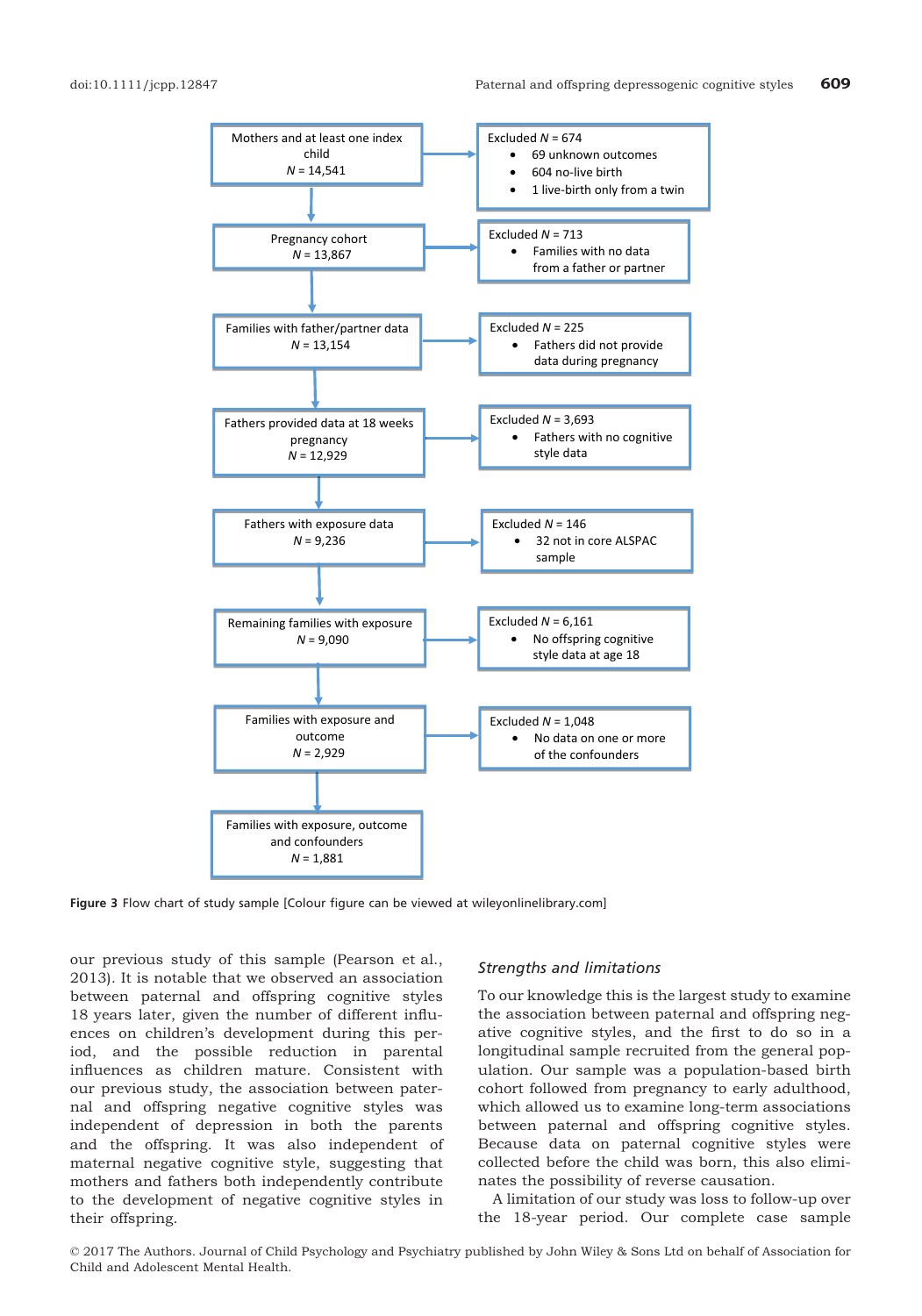

Figure 3 Flow chart of study sample [Colour figure can be viewed at wileyonlinelibrary.com]

our previous study of this sample (Pearson et al., 2013). It is notable that we observed an association between paternal and offspring cognitive styles 18 years later, given the number of different influences on children's development during this period, and the possible reduction in parental influences as children mature. Consistent with our previous study, the association between paternal and offspring negative cognitive styles was independent of depression in both the parents and the offspring. It was also independent of maternal negative cognitive style, suggesting that mothers and fathers both independently contribute to the development of negative cognitive styles in their offspring.

# Strengths and limitations

To our knowledge this is the largest study to examine the association between paternal and offspring negative cognitive styles, and the first to do so in a longitudinal sample recruited from the general population. Our sample was a population-based birth cohort followed from pregnancy to early adulthood, which allowed us to examine long-term associations between paternal and offspring cognitive styles. Because data on paternal cognitive styles were collected before the child was born, this also eliminates the possibility of reverse causation.

A limitation of our study was loss to follow-up over the 18-year period. Our complete case sample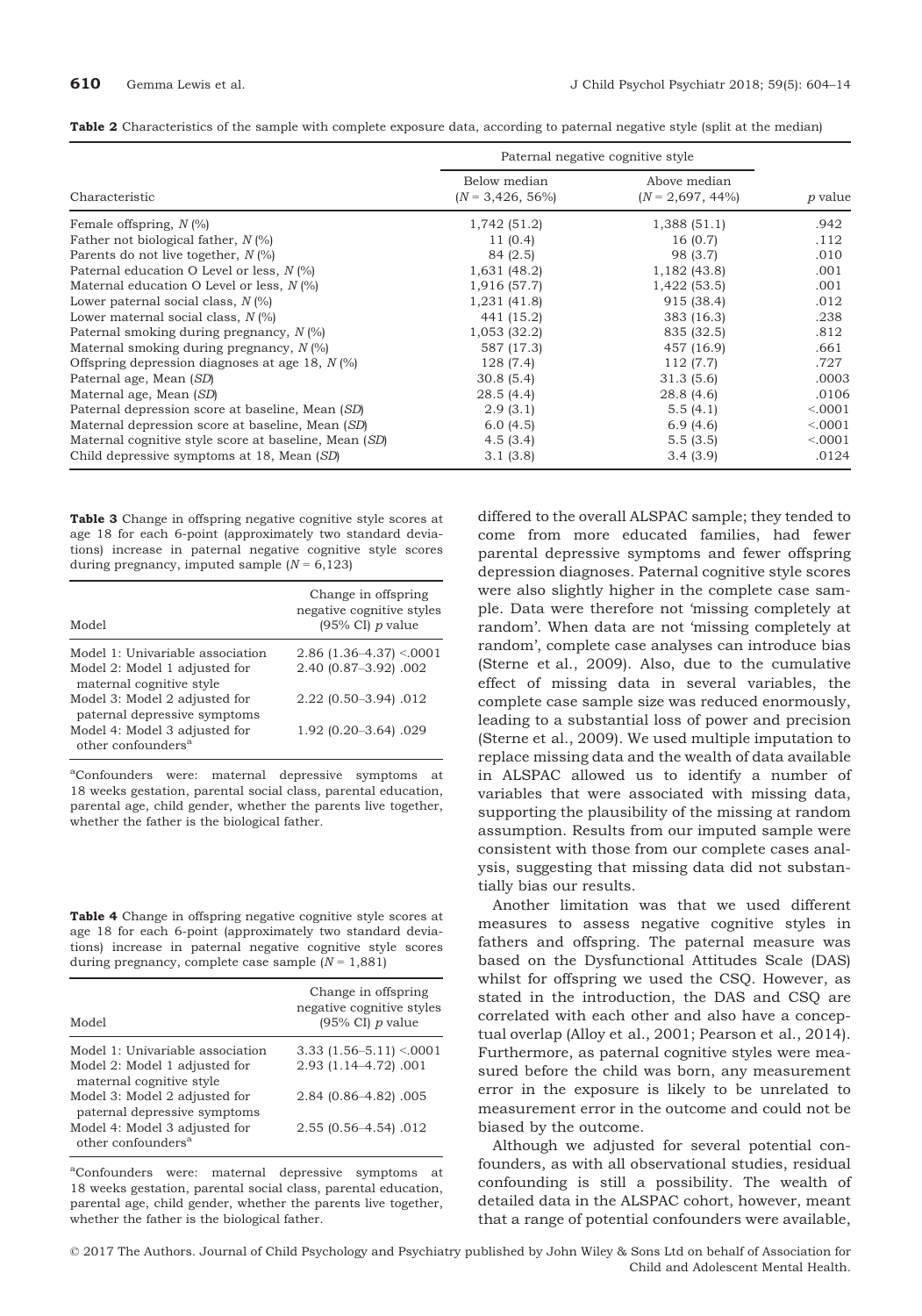|  |  |  |  |  | Table 2 Characteristics of the sample with complete exposure data, according to paternal negative style (split at the median) |  |  |  |
|--|--|--|--|--|-------------------------------------------------------------------------------------------------------------------------------|--|--|--|
|--|--|--|--|--|-------------------------------------------------------------------------------------------------------------------------------|--|--|--|

|                                                       | Paternal negative cognitive style   |                                     |                |  |
|-------------------------------------------------------|-------------------------------------|-------------------------------------|----------------|--|
| Characteristic                                        | Below median<br>$(N = 3,426, 56\%)$ | Above median<br>$(N = 2,697, 44\%)$ | <i>p</i> value |  |
| Female offspring, $N$ (%)                             | 1,742 (51.2)                        | 1,388(51.1)                         | .942           |  |
| Father not biological father, $N$ (%)                 | 11(0.4)                             | 16(0.7)                             | .112           |  |
| Parents do not live together, $N$ (%)                 | 84(2.5)                             | 98 (3.7)                            | .010           |  |
| Paternal education O Level or less, $N(\%)$           | 1,631 (48.2)                        | 1,182 (43.8)                        | .001           |  |
| Maternal education O Level or less, $N$ (%)           | 1,916 (57.7)                        | 1,422 (53.5)                        | .001           |  |
| Lower paternal social class, $N$ (%)                  | 1,231 (41.8)                        | 915 (38.4)                          | .012           |  |
| Lower maternal social class, $N$ (%)                  | 441 (15.2)                          | 383 (16.3)                          | .238           |  |
| Paternal smoking during pregnancy, $N$ (%)            | 1,053 (32.2)                        | 835 (32.5)                          | .812           |  |
| Maternal smoking during pregnancy, $N$ (%)            | 587 (17.3)                          | 457 (16.9)                          | .661           |  |
| Offspring depression diagnoses at age 18, $N$ (%)     | 128 (7.4)                           | 112 (7.7)                           | .727           |  |
| Paternal age, Mean (SD)                               | 30.8(5.4)                           | 31.3(5.6)                           | .0003          |  |
| Maternal age, Mean (SD)                               | 28.5(4.4)                           | 28.8(4.6)                           | .0106          |  |
| Paternal depression score at baseline, Mean (SD)      | 2.9(3.1)                            | 5.5(4.1)                            | < 0.0001       |  |
| Maternal depression score at baseline, Mean (SD)      | 6.0(4.5)                            | 6.9(4.6)                            | < 0.0001       |  |
| Maternal cognitive style score at baseline, Mean (SD) | 4.5(3.4)                            | 5.5(3.5)                            | < 0.0001       |  |
| Child depressive symptoms at 18, Mean (SD)            | 3.1(3.8)                            | 3.4(3.9)                            | .0124          |  |

Table 3 Change in offspring negative cognitive style scores at age 18 for each 6-point (approximately two standard deviations) increase in paternal negative cognitive style scores during pregnancy, imputed sample  $(N = 6, 123)$ 

| Model                                                           | Change in offspring<br>negative cognitive styles<br>$(95\% \text{ CI})$ p value |
|-----------------------------------------------------------------|---------------------------------------------------------------------------------|
| Model 1: Univariable association                                | $2.86$ (1.36–4.37) < 0001                                                       |
| Model 2: Model 1 adjusted for<br>maternal cognitive style       | 2.40 (0.87-3.92) .002                                                           |
| Model 3: Model 2 adjusted for<br>paternal depressive symptoms   | 2.22 (0.50-3.94) .012                                                           |
| Model 4: Model 3 adjusted for<br>other confounders <sup>a</sup> | 1.92 (0.20-3.64) .029                                                           |

<sup>a</sup>Confounders were: maternal depressive symptoms at 18 weeks gestation, parental social class, parental education, parental age, child gender, whether the parents live together, whether the father is the biological father.

Table 4 Change in offspring negative cognitive style scores at age 18 for each 6-point (approximately two standard deviations) increase in paternal negative cognitive style scores during pregnancy, complete case sample  $\left(N=1,881\right)$ 

| Model                                                           | Change in offspring<br>negative cognitive styles<br>$(95\% \text{ CI})$ p value |
|-----------------------------------------------------------------|---------------------------------------------------------------------------------|
| Model 1: Univariable association                                | $3.33(1.56 - 5.11) \le 0.0001$                                                  |
| Model 2: Model 1 adjusted for<br>maternal cognitive style       | 2.93 (1.14-4.72) .001                                                           |
| Model 3: Model 2 adjusted for<br>paternal depressive symptoms   | 2.84 (0.86–4.82) .005                                                           |
| Model 4: Model 3 adjusted for<br>other confounders <sup>a</sup> | $2.55(0.56-4.54).012$                                                           |

<sup>a</sup>Confounders were: maternal depressive symptoms at 18 weeks gestation, parental social class, parental education, parental age, child gender, whether the parents live together, whether the father is the biological father.

differed to the overall ALSPAC sample; they tended to come from more educated families, had fewer parental depressive symptoms and fewer offspring depression diagnoses. Paternal cognitive style scores were also slightly higher in the complete case sample. Data were therefore not 'missing completely at random'. When data are not 'missing completely at random', complete case analyses can introduce bias (Sterne et al., 2009). Also, due to the cumulative effect of missing data in several variables, the complete case sample size was reduced enormously, leading to a substantial loss of power and precision (Sterne et al., 2009). We used multiple imputation to replace missing data and the wealth of data available in ALSPAC allowed us to identify a number of variables that were associated with missing data, supporting the plausibility of the missing at random assumption. Results from our imputed sample were consistent with those from our complete cases analysis, suggesting that missing data did not substantially bias our results.

Another limitation was that we used different measures to assess negative cognitive styles in fathers and offspring. The paternal measure was based on the Dysfunctional Attitudes Scale (DAS) whilst for offspring we used the CSQ. However, as stated in the introduction, the DAS and CSQ are correlated with each other and also have a conceptual overlap (Alloy et al., 2001; Pearson et al., 2014). Furthermore, as paternal cognitive styles were measured before the child was born, any measurement error in the exposure is likely to be unrelated to measurement error in the outcome and could not be biased by the outcome.

Although we adjusted for several potential confounders, as with all observational studies, residual confounding is still a possibility. The wealth of detailed data in the ALSPAC cohort, however, meant that a range of potential confounders were available,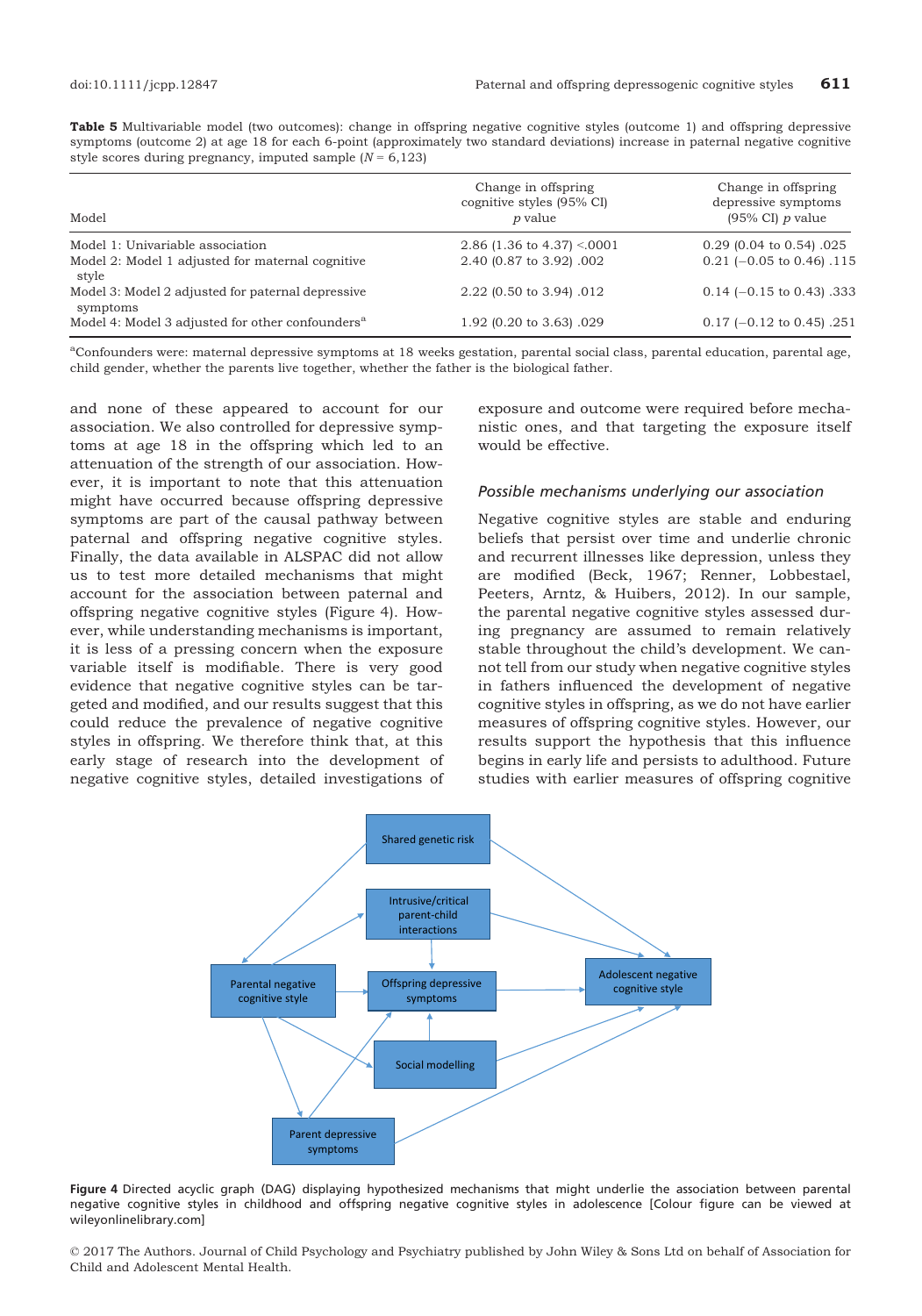Table 5 Multivariable model (two outcomes): change in offspring negative cognitive styles (outcome 1) and offspring depressive symptoms (outcome 2) at age 18 for each 6-point (approximately two standard deviations) increase in paternal negative cognitive style scores during pregnancy, imputed sample  $(N = 6,123)$ 

| Change in offspring<br>cognitive styles (95% CI)<br><i>p</i> value | Change in offspring<br>depressive symptoms<br>$(95\% \text{ CI})$ p value |
|--------------------------------------------------------------------|---------------------------------------------------------------------------|
| 2.86 (1.36 to 4.37) < 0001                                         | $0.29$ (0.04 to 0.54) $.025$                                              |
| 2.40 (0.87 to 3.92) .002                                           | $0.21$ (-0.05 to 0.46).115                                                |
| 2.22 (0.50 to 3.94) .012                                           | $0.14$ (-0.15 to 0.43) .333                                               |
| 1.92 (0.20 to 3.63) .029                                           | $0.17$ (-0.12 to 0.45) .251                                               |
|                                                                    |                                                                           |

<sup>a</sup>Confounders were: maternal depressive symptoms at 18 weeks gestation, parental social class, parental education, parental age, child gender, whether the parents live together, whether the father is the biological father.

and none of these appeared to account for our association. We also controlled for depressive symptoms at age 18 in the offspring which led to an attenuation of the strength of our association. However, it is important to note that this attenuation might have occurred because offspring depressive symptoms are part of the causal pathway between paternal and offspring negative cognitive styles. Finally, the data available in ALSPAC did not allow us to test more detailed mechanisms that might account for the association between paternal and offspring negative cognitive styles (Figure 4). However, while understanding mechanisms is important, it is less of a pressing concern when the exposure variable itself is modifiable. There is very good evidence that negative cognitive styles can be targeted and modified, and our results suggest that this could reduce the prevalence of negative cognitive styles in offspring. We therefore think that, at this early stage of research into the development of negative cognitive styles, detailed investigations of exposure and outcome were required before mechanistic ones, and that targeting the exposure itself would be effective.

#### Possible mechanisms underlying our association

Negative cognitive styles are stable and enduring beliefs that persist over time and underlie chronic and recurrent illnesses like depression, unless they are modified (Beck, 1967; Renner, Lobbestael, Peeters, Arntz, & Huibers, 2012). In our sample, the parental negative cognitive styles assessed during pregnancy are assumed to remain relatively stable throughout the child's development. We cannot tell from our study when negative cognitive styles in fathers influenced the development of negative cognitive styles in offspring, as we do not have earlier measures of offspring cognitive styles. However, our results support the hypothesis that this influence begins in early life and persists to adulthood. Future studies with earlier measures of offspring cognitive



Figure 4 Directed acyclic graph (DAG) displaying hypothesized mechanisms that might underlie the association between parental negative cognitive styles in childhood and offspring negative cognitive styles in adolescence [Colour figure can be viewed at wileyonlinelibrary.com]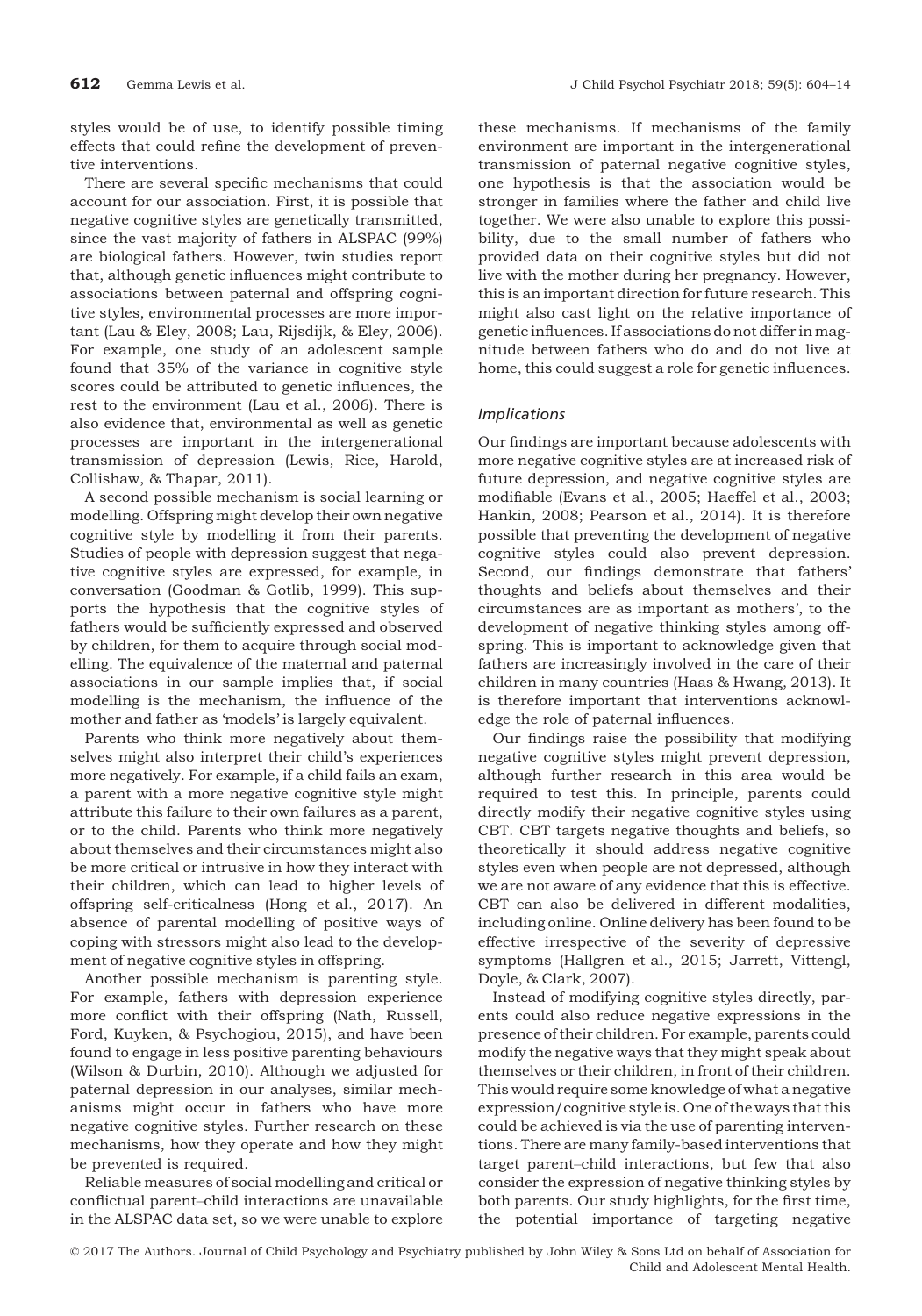styles would be of use, to identify possible timing effects that could refine the development of preventive interventions.

There are several specific mechanisms that could account for our association. First, it is possible that negative cognitive styles are genetically transmitted, since the vast majority of fathers in ALSPAC (99%) are biological fathers. However, twin studies report that, although genetic influences might contribute to associations between paternal and offspring cognitive styles, environmental processes are more important (Lau & Eley, 2008; Lau, Rijsdijk, & Eley, 2006). For example, one study of an adolescent sample found that 35% of the variance in cognitive style scores could be attributed to genetic influences, the rest to the environment (Lau et al., 2006). There is also evidence that, environmental as well as genetic processes are important in the intergenerational transmission of depression (Lewis, Rice, Harold, Collishaw, & Thapar, 2011).

A second possible mechanism is social learning or modelling. Offspring might develop their own negative cognitive style by modelling it from their parents. Studies of people with depression suggest that negative cognitive styles are expressed, for example, in conversation (Goodman & Gotlib, 1999). This supports the hypothesis that the cognitive styles of fathers would be sufficiently expressed and observed by children, for them to acquire through social modelling. The equivalence of the maternal and paternal associations in our sample implies that, if social modelling is the mechanism, the influence of the mother and father as 'models' is largely equivalent.

Parents who think more negatively about themselves might also interpret their child's experiences more negatively. For example, if a child fails an exam, a parent with a more negative cognitive style might attribute this failure to their own failures as a parent, or to the child. Parents who think more negatively about themselves and their circumstances might also be more critical or intrusive in how they interact with their children, which can lead to higher levels of offspring self-criticalness (Hong et al., 2017). An absence of parental modelling of positive ways of coping with stressors might also lead to the development of negative cognitive styles in offspring.

Another possible mechanism is parenting style. For example, fathers with depression experience more conflict with their offspring (Nath, Russell, Ford, Kuyken, & Psychogiou, 2015), and have been found to engage in less positive parenting behaviours (Wilson & Durbin, 2010). Although we adjusted for paternal depression in our analyses, similar mechanisms might occur in fathers who have more negative cognitive styles. Further research on these mechanisms, how they operate and how they might be prevented is required.

Reliable measures of social modelling and critical or conflictual parent–child interactions are unavailable in the ALSPAC data set, so we were unable to explore

these mechanisms. If mechanisms of the family environment are important in the intergenerational transmission of paternal negative cognitive styles, one hypothesis is that the association would be stronger in families where the father and child live together. We were also unable to explore this possibility, due to the small number of fathers who provided data on their cognitive styles but did not live with the mother during her pregnancy. However, this is an important direction for future research. This might also cast light on the relative importance of genetic influences. If associations do not differ in magnitude between fathers who do and do not live at home, this could suggest a role for genetic influences.

# Implications

Our findings are important because adolescents with more negative cognitive styles are at increased risk of future depression, and negative cognitive styles are modifiable (Evans et al., 2005; Haeffel et al., 2003; Hankin, 2008; Pearson et al., 2014). It is therefore possible that preventing the development of negative cognitive styles could also prevent depression. Second, our findings demonstrate that fathers' thoughts and beliefs about themselves and their circumstances are as important as mothers', to the development of negative thinking styles among offspring. This is important to acknowledge given that fathers are increasingly involved in the care of their children in many countries (Haas & Hwang, 2013). It is therefore important that interventions acknowledge the role of paternal influences.

Our findings raise the possibility that modifying negative cognitive styles might prevent depression, although further research in this area would be required to test this. In principle, parents could directly modify their negative cognitive styles using CBT. CBT targets negative thoughts and beliefs, so theoretically it should address negative cognitive styles even when people are not depressed, although we are not aware of any evidence that this is effective. CBT can also be delivered in different modalities, including online. Online delivery has been found to be effective irrespective of the severity of depressive symptoms (Hallgren et al., 2015; Jarrett, Vittengl, Doyle, & Clark, 2007).

Instead of modifying cognitive styles directly, parents could also reduce negative expressions in the presence of their children. For example, parents could modify the negative ways that they might speak about themselves or their children, in front of their children. This would require some knowledge of what a negative expression/cognitive style is. One of the ways that this could be achieved is via the use of parenting interventions. There are many family-based interventions that target parent–child interactions, but few that also consider the expression of negative thinking styles by both parents. Our study highlights, for the first time, the potential importance of targeting negative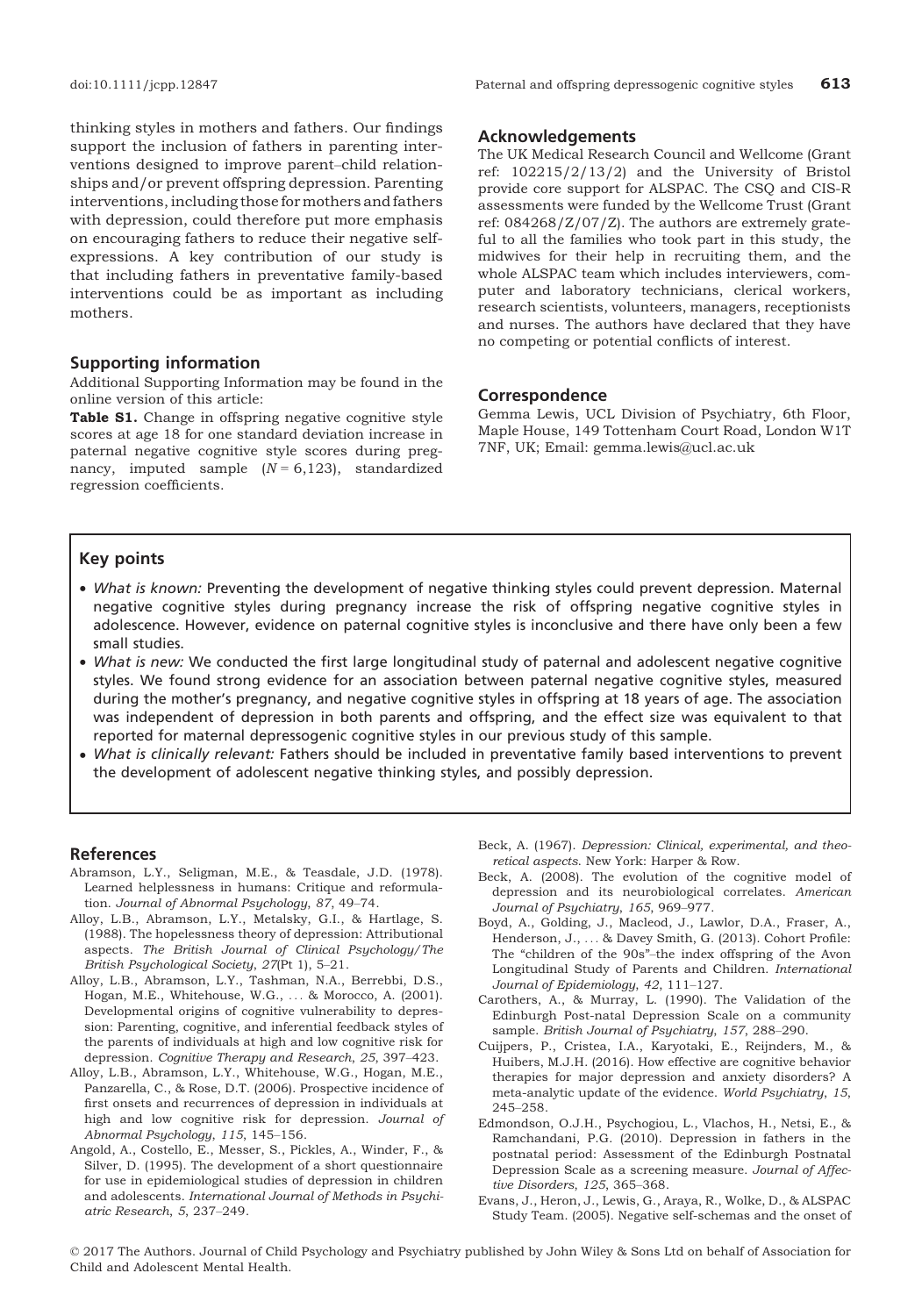thinking styles in mothers and fathers. Our findings support the inclusion of fathers in parenting interventions designed to improve parent–child relationships and/or prevent offspring depression. Parenting interventions, including those formothers and fathers with depression, could therefore put more emphasis on encouraging fathers to reduce their negative selfexpressions. A key contribution of our study is that including fathers in preventative family-based interventions could be as important as including mothers.

#### Supporting information

Additional Supporting Information may be found in the online version of this article:

Table S1. Change in offspring negative cognitive style scores at age 18 for one standard deviation increase in paternal negative cognitive style scores during pregnancy, imputed sample  $(N = 6,123)$ , standardized regression coefficients.

#### Acknowledgements

The UK Medical Research Council and Wellcome (Grant ref: 102215/2/13/2) and the University of Bristol provide core support for ALSPAC. The CSQ and CIS-R assessments were funded by the Wellcome Trust (Grant ref: 084268/Z/07/Z). The authors are extremely grateful to all the families who took part in this study, the midwives for their help in recruiting them, and the whole ALSPAC team which includes interviewers, computer and laboratory technicians, clerical workers, research scientists, volunteers, managers, receptionists and nurses. The authors have declared that they have no competing or potential conflicts of interest.

#### Correspondence

Gemma Lewis, UCL Division of Psychiatry, 6th Floor, Maple House, 149 Tottenham Court Road, London W1T 7NF, UK; Email: gemma.lewis@ucl.ac.uk

# Key points

- What is known: Preventing the development of negative thinking styles could prevent depression. Maternal negative cognitive styles during pregnancy increase the risk of offspring negative cognitive styles in adolescence. However, evidence on paternal cognitive styles is inconclusive and there have only been a few small studies.
- What is new: We conducted the first large longitudinal study of paternal and adolescent negative cognitive styles. We found strong evidence for an association between paternal negative cognitive styles, measured during the mother's pregnancy, and negative cognitive styles in offspring at 18 years of age. The association was independent of depression in both parents and offspring, and the effect size was equivalent to that reported for maternal depressogenic cognitive styles in our previous study of this sample.
- What is clinically relevant: Fathers should be included in preventative family based interventions to prevent the development of adolescent negative thinking styles, and possibly depression.

# References

- Abramson, L.Y., Seligman, M.E., & Teasdale, J.D. (1978). Learned helplessness in humans: Critique and reformulation. Journal of Abnormal Psychology, 87, 49–74.
- Alloy, L.B., Abramson, L.Y., Metalsky, G.I., & Hartlage, S. (1988). The hopelessness theory of depression: Attributional aspects. The British Journal of Clinical Psychology/The British Psychological Society, 27(Pt 1), 5–21.
- Alloy, L.B., Abramson, L.Y., Tashman, N.A., Berrebbi, D.S., Hogan, M.E., Whitehouse, W.G., ... & Morocco, A. (2001). Developmental origins of cognitive vulnerability to depression: Parenting, cognitive, and inferential feedback styles of the parents of individuals at high and low cognitive risk for depression. Cognitive Therapy and Research, 25, 397–423.
- Alloy, L.B., Abramson, L.Y., Whitehouse, W.G., Hogan, M.E., Panzarella, C., & Rose, D.T. (2006). Prospective incidence of first onsets and recurrences of depression in individuals at high and low cognitive risk for depression. Journal of Abnormal Psychology, 115, 145–156.
- Angold, A., Costello, E., Messer, S., Pickles, A., Winder, F., & Silver, D. (1995). The development of a short questionnaire for use in epidemiological studies of depression in children and adolescents. International Journal of Methods in Psychiatric Research, 5, 237–249.
- Beck, A. (1967). Depression: Clinical, experimental, and theoretical aspects. New York: Harper & Row.
- Beck, A. (2008). The evolution of the cognitive model of depression and its neurobiological correlates. American Journal of Psychiatry, 165, 969–977.
- Boyd, A., Golding, J., Macleod, J., Lawlor, D.A., Fraser, A., Henderson, J., ... & Davey Smith, G. (2013). Cohort Profile: The "children of the 90s"–the index offspring of the Avon Longitudinal Study of Parents and Children. International Journal of Epidemiology, 42, 111–127.
- Carothers, A., & Murray, L. (1990). The Validation of the Edinburgh Post-natal Depression Scale on a community sample. British Journal of Psychiatry, 157, 288–290.
- Cuijpers, P., Cristea, I.A., Karyotaki, E., Reijnders, M., & Huibers, M.J.H. (2016). How effective are cognitive behavior therapies for major depression and anxiety disorders? A meta-analytic update of the evidence. World Psychiatry, 15, 245–258.
- Edmondson, O.J.H., Psychogiou, L., Vlachos, H., Netsi, E., & Ramchandani, P.G. (2010). Depression in fathers in the postnatal period: Assessment of the Edinburgh Postnatal Depression Scale as a screening measure. Journal of Affective Disorders, 125, 365–368.
- Evans, J., Heron, J., Lewis, G., Araya, R., Wolke, D., & ALSPAC Study Team. (2005). Negative self-schemas and the onset of